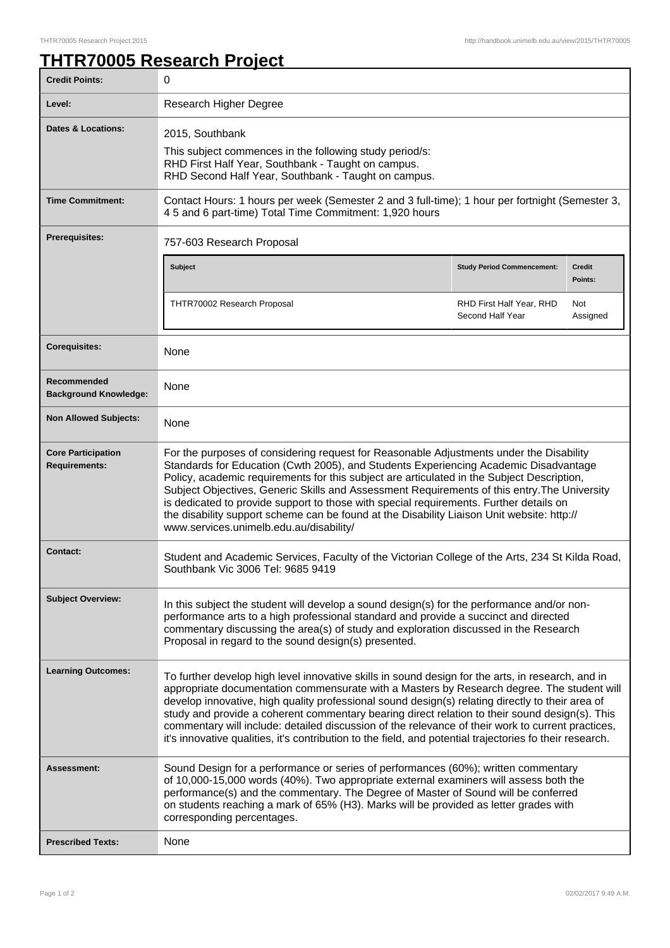## **THTR70005 Research Project**

| <b>Credit Points:</b>                             | 0                                                                                                                                                                                                                                                                                                                                                                                                                                                                                                                                                                                                                      |                                              |                          |
|---------------------------------------------------|------------------------------------------------------------------------------------------------------------------------------------------------------------------------------------------------------------------------------------------------------------------------------------------------------------------------------------------------------------------------------------------------------------------------------------------------------------------------------------------------------------------------------------------------------------------------------------------------------------------------|----------------------------------------------|--------------------------|
| Level:                                            | Research Higher Degree                                                                                                                                                                                                                                                                                                                                                                                                                                                                                                                                                                                                 |                                              |                          |
| <b>Dates &amp; Locations:</b>                     | 2015, Southbank<br>This subject commences in the following study period/s:<br>RHD First Half Year, Southbank - Taught on campus.<br>RHD Second Half Year, Southbank - Taught on campus.                                                                                                                                                                                                                                                                                                                                                                                                                                |                                              |                          |
| <b>Time Commitment:</b>                           | Contact Hours: 1 hours per week (Semester 2 and 3 full-time); 1 hour per fortnight (Semester 3,<br>4 5 and 6 part-time) Total Time Commitment: 1,920 hours                                                                                                                                                                                                                                                                                                                                                                                                                                                             |                                              |                          |
| <b>Prerequisites:</b>                             | 757-603 Research Proposal                                                                                                                                                                                                                                                                                                                                                                                                                                                                                                                                                                                              |                                              |                          |
|                                                   | <b>Subject</b>                                                                                                                                                                                                                                                                                                                                                                                                                                                                                                                                                                                                         | <b>Study Period Commencement:</b>            | <b>Credit</b><br>Points: |
|                                                   | THTR70002 Research Proposal                                                                                                                                                                                                                                                                                                                                                                                                                                                                                                                                                                                            | RHD First Half Year, RHD<br>Second Half Year | Not<br>Assigned          |
| <b>Corequisites:</b>                              | None                                                                                                                                                                                                                                                                                                                                                                                                                                                                                                                                                                                                                   |                                              |                          |
| Recommended<br><b>Background Knowledge:</b>       | None                                                                                                                                                                                                                                                                                                                                                                                                                                                                                                                                                                                                                   |                                              |                          |
| <b>Non Allowed Subjects:</b>                      | None                                                                                                                                                                                                                                                                                                                                                                                                                                                                                                                                                                                                                   |                                              |                          |
| <b>Core Participation</b><br><b>Requirements:</b> | For the purposes of considering request for Reasonable Adjustments under the Disability<br>Standards for Education (Cwth 2005), and Students Experiencing Academic Disadvantage<br>Policy, academic requirements for this subject are articulated in the Subject Description,<br>Subject Objectives, Generic Skills and Assessment Requirements of this entry. The University<br>is dedicated to provide support to those with special requirements. Further details on<br>the disability support scheme can be found at the Disability Liaison Unit website: http://<br>www.services.unimelb.edu.au/disability/       |                                              |                          |
| <b>Contact:</b>                                   | Student and Academic Services, Faculty of the Victorian College of the Arts, 234 St Kilda Road,<br>Southbank Vic 3006 Tel: 9685 9419                                                                                                                                                                                                                                                                                                                                                                                                                                                                                   |                                              |                          |
| <b>Subject Overview:</b>                          | In this subject the student will develop a sound design(s) for the performance and/or non-<br>performance arts to a high professional standard and provide a succinct and directed<br>commentary discussing the area(s) of study and exploration discussed in the Research<br>Proposal in regard to the sound design(s) presented.                                                                                                                                                                                                                                                                                     |                                              |                          |
| <b>Learning Outcomes:</b>                         | To further develop high level innovative skills in sound design for the arts, in research, and in<br>appropriate documentation commensurate with a Masters by Research degree. The student will<br>develop innovative, high quality professional sound design(s) relating directly to their area of<br>study and provide a coherent commentary bearing direct relation to their sound design(s). This<br>commentary will include: detailed discussion of the relevance of their work to current practices,<br>it's innovative qualities, it's contribution to the field, and potential trajectories fo their research. |                                              |                          |
| Assessment:                                       | Sound Design for a performance or series of performances (60%); written commentary<br>of 10,000-15,000 words (40%). Two appropriate external examiners will assess both the<br>performance(s) and the commentary. The Degree of Master of Sound will be conferred<br>on students reaching a mark of 65% (H3). Marks will be provided as letter grades with<br>corresponding percentages.                                                                                                                                                                                                                               |                                              |                          |
| <b>Prescribed Texts:</b>                          | None                                                                                                                                                                                                                                                                                                                                                                                                                                                                                                                                                                                                                   |                                              |                          |